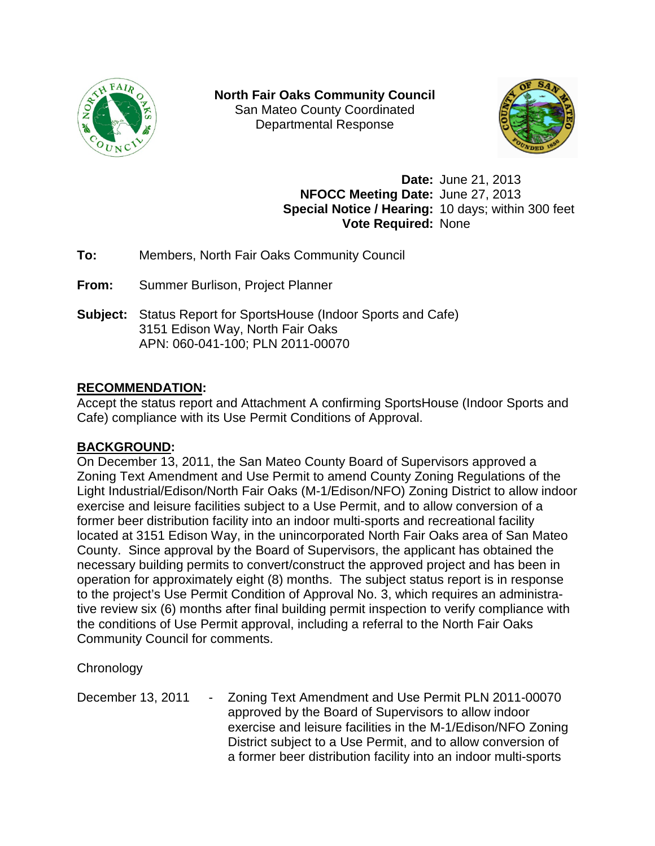

**North Fair Oaks Community Council** San Mateo County Coordinated Departmental Response



**Date:** June 21, 2013 **NFOCC Meeting Date:** June 27, 2013 **Special Notice / Hearing:** 10 days; within 300 feet **Vote Required:** None

**To:** Members, North Fair Oaks Community Council

**From:** Summer Burlison, Project Planner

**Subject:** Status Report for SportsHouse (Indoor Sports and Cafe) 3151 Edison Way, North Fair Oaks APN: 060-041-100; PLN 2011-00070

### **RECOMMENDATION:**

Accept the status report and Attachment A confirming SportsHouse (Indoor Sports and Cafe) compliance with its Use Permit Conditions of Approval.

# **BACKGROUND:**

On December 13, 2011, the San Mateo County Board of Supervisors approved a Zoning Text Amendment and Use Permit to amend County Zoning Regulations of the Light Industrial/Edison/North Fair Oaks (M-1/Edison/NFO) Zoning District to allow indoor exercise and leisure facilities subject to a Use Permit, and to allow conversion of a former beer distribution facility into an indoor multi-sports and recreational facility located at 3151 Edison Way, in the unincorporated North Fair Oaks area of San Mateo County. Since approval by the Board of Supervisors, the applicant has obtained the necessary building permits to convert/construct the approved project and has been in operation for approximately eight (8) months. The subject status report is in response to the project's Use Permit Condition of Approval No. 3, which requires an administrative review six (6) months after final building permit inspection to verify compliance with the conditions of Use Permit approval, including a referral to the North Fair Oaks Community Council for comments.

**Chronology** 

December 13, 2011 - Zoning Text Amendment and Use Permit PLN 2011-00070 approved by the Board of Supervisors to allow indoor exercise and leisure facilities in the M-1/Edison/NFO Zoning District subject to a Use Permit, and to allow conversion of a former beer distribution facility into an indoor multi-sports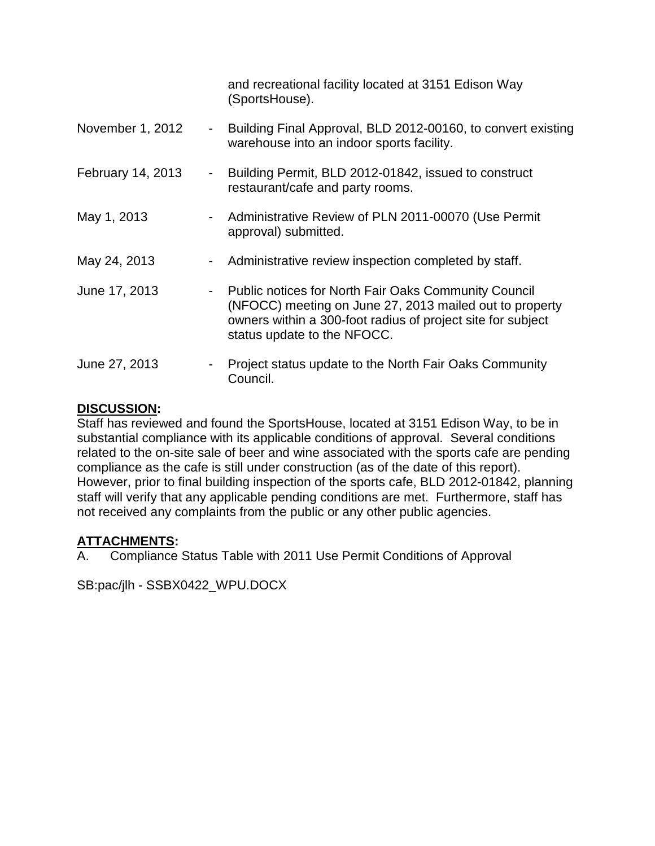|                   |                          | and recreational facility located at 3151 Edison Way<br>(SportsHouse).                                                                                                                                               |
|-------------------|--------------------------|----------------------------------------------------------------------------------------------------------------------------------------------------------------------------------------------------------------------|
| November 1, 2012  | $\blacksquare$           | Building Final Approval, BLD 2012-00160, to convert existing<br>warehouse into an indoor sports facility.                                                                                                            |
| February 14, 2013 | $\blacksquare$           | Building Permit, BLD 2012-01842, issued to construct<br>restaurant/cafe and party rooms.                                                                                                                             |
| May 1, 2013       | Ξ.                       | Administrative Review of PLN 2011-00070 (Use Permit<br>approval) submitted.                                                                                                                                          |
| May 24, 2013      | ۰.                       | Administrative review inspection completed by staff.                                                                                                                                                                 |
| June 17, 2013     | $\overline{\phantom{a}}$ | <b>Public notices for North Fair Oaks Community Council</b><br>(NFOCC) meeting on June 27, 2013 mailed out to property<br>owners within a 300-foot radius of project site for subject<br>status update to the NFOCC. |
| June 27, 2013     |                          | Project status update to the North Fair Oaks Community<br>Council.                                                                                                                                                   |

#### **DISCUSSION:**

Staff has reviewed and found the SportsHouse, located at 3151 Edison Way, to be in substantial compliance with its applicable conditions of approval. Several conditions related to the on-site sale of beer and wine associated with the sports cafe are pending compliance as the cafe is still under construction (as of the date of this report). However, prior to final building inspection of the sports cafe, BLD 2012-01842, planning staff will verify that any applicable pending conditions are met. Furthermore, staff has not received any complaints from the public or any other public agencies.

### **ATTACHMENTS:**

A. Compliance Status Table with 2011 Use Permit Conditions of Approval

SB:pac/jlh - SSBX0422\_WPU.DOCX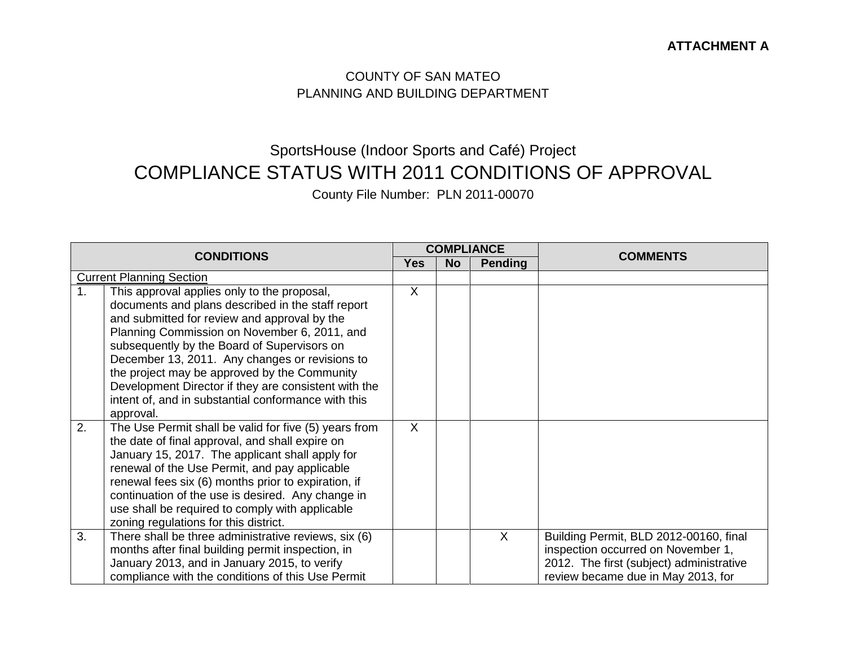### COUNTY OF SAN MATEO PLANNING AND BUILDING DEPARTMENT

# SportsHouse (Indoor Sports and Café) Project COMPLIANCE STATUS WITH 2011 CONDITIONS OF APPROVAL

County File Number: PLN 2011-00070

| <b>CONDITIONS</b> |                                                                                                                                                                                                                                                                                                                                                                                                                                                                               | <b>COMPLIANCE</b> |           |                |                                                                                                                                                                |
|-------------------|-------------------------------------------------------------------------------------------------------------------------------------------------------------------------------------------------------------------------------------------------------------------------------------------------------------------------------------------------------------------------------------------------------------------------------------------------------------------------------|-------------------|-----------|----------------|----------------------------------------------------------------------------------------------------------------------------------------------------------------|
|                   |                                                                                                                                                                                                                                                                                                                                                                                                                                                                               | <b>Yes</b>        | <b>No</b> | <b>Pending</b> | <b>COMMENTS</b>                                                                                                                                                |
|                   | <b>Current Planning Section</b>                                                                                                                                                                                                                                                                                                                                                                                                                                               |                   |           |                |                                                                                                                                                                |
| 1 <sub>1</sub>    | This approval applies only to the proposal,<br>documents and plans described in the staff report<br>and submitted for review and approval by the<br>Planning Commission on November 6, 2011, and<br>subsequently by the Board of Supervisors on<br>December 13, 2011. Any changes or revisions to<br>the project may be approved by the Community<br>Development Director if they are consistent with the<br>intent of, and in substantial conformance with this<br>approval. | X                 |           |                |                                                                                                                                                                |
| 2.                | The Use Permit shall be valid for five (5) years from<br>the date of final approval, and shall expire on<br>January 15, 2017. The applicant shall apply for<br>renewal of the Use Permit, and pay applicable<br>renewal fees six (6) months prior to expiration, if<br>continuation of the use is desired. Any change in<br>use shall be required to comply with applicable<br>zoning regulations for this district.                                                          | $\sf X$           |           |                |                                                                                                                                                                |
| 3.                | There shall be three administrative reviews, six (6)<br>months after final building permit inspection, in<br>January 2013, and in January 2015, to verify<br>compliance with the conditions of this Use Permit                                                                                                                                                                                                                                                                |                   |           | $\sf X$        | Building Permit, BLD 2012-00160, final<br>inspection occurred on November 1,<br>2012. The first (subject) administrative<br>review became due in May 2013, for |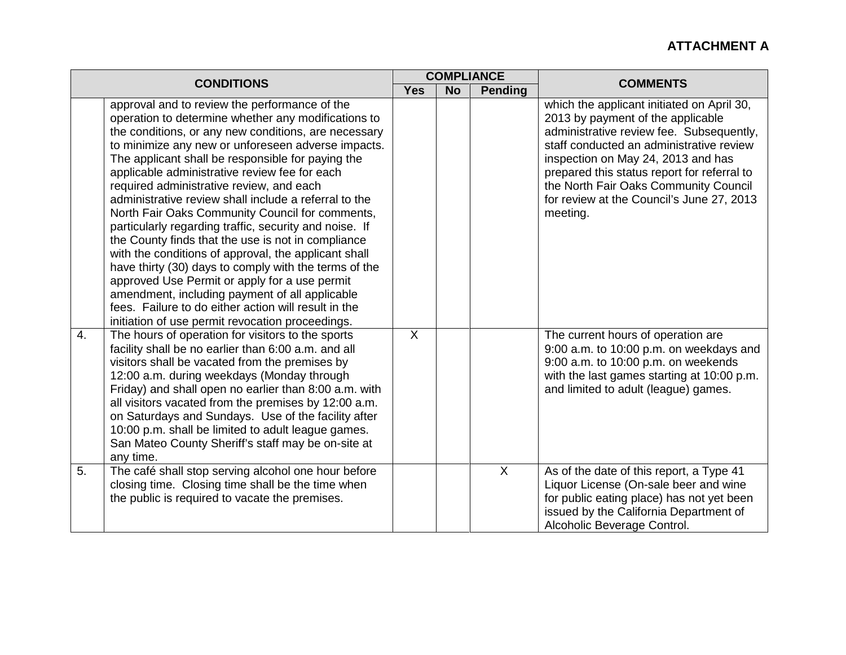| <b>CONDITIONS</b> |                                                                                                                                                                                                                                                                                                                                                                                                                                                                                                                                                                                                                                                                                                                                                                                                                                                                                                                                  | <b>COMPLIANCE</b> |           |                | <b>COMMENTS</b>                                                                                                                                                                                                                                                                                                                                                |
|-------------------|----------------------------------------------------------------------------------------------------------------------------------------------------------------------------------------------------------------------------------------------------------------------------------------------------------------------------------------------------------------------------------------------------------------------------------------------------------------------------------------------------------------------------------------------------------------------------------------------------------------------------------------------------------------------------------------------------------------------------------------------------------------------------------------------------------------------------------------------------------------------------------------------------------------------------------|-------------------|-----------|----------------|----------------------------------------------------------------------------------------------------------------------------------------------------------------------------------------------------------------------------------------------------------------------------------------------------------------------------------------------------------------|
|                   |                                                                                                                                                                                                                                                                                                                                                                                                                                                                                                                                                                                                                                                                                                                                                                                                                                                                                                                                  |                   | <b>No</b> | <b>Pending</b> |                                                                                                                                                                                                                                                                                                                                                                |
|                   | approval and to review the performance of the<br>operation to determine whether any modifications to<br>the conditions, or any new conditions, are necessary<br>to minimize any new or unforeseen adverse impacts.<br>The applicant shall be responsible for paying the<br>applicable administrative review fee for each<br>required administrative review, and each<br>administrative review shall include a referral to the<br>North Fair Oaks Community Council for comments,<br>particularly regarding traffic, security and noise. If<br>the County finds that the use is not in compliance<br>with the conditions of approval, the applicant shall<br>have thirty (30) days to comply with the terms of the<br>approved Use Permit or apply for a use permit<br>amendment, including payment of all applicable<br>fees. Failure to do either action will result in the<br>initiation of use permit revocation proceedings. |                   |           |                | which the applicant initiated on April 30,<br>2013 by payment of the applicable<br>administrative review fee. Subsequently,<br>staff conducted an administrative review<br>inspection on May 24, 2013 and has<br>prepared this status report for referral to<br>the North Fair Oaks Community Council<br>for review at the Council's June 27, 2013<br>meeting. |
| 4.                | The hours of operation for visitors to the sports<br>facility shall be no earlier than 6:00 a.m. and all<br>visitors shall be vacated from the premises by<br>12:00 a.m. during weekdays (Monday through<br>Friday) and shall open no earlier than 8:00 a.m. with<br>all visitors vacated from the premises by 12:00 a.m.<br>on Saturdays and Sundays. Use of the facility after<br>10:00 p.m. shall be limited to adult league games.<br>San Mateo County Sheriff's staff may be on-site at<br>any time.                                                                                                                                                                                                                                                                                                                                                                                                                        | $\sf X$           |           |                | The current hours of operation are<br>9:00 a.m. to 10:00 p.m. on weekdays and<br>9:00 a.m. to 10:00 p.m. on weekends<br>with the last games starting at 10:00 p.m.<br>and limited to adult (league) games.                                                                                                                                                     |
| 5.                | The café shall stop serving alcohol one hour before<br>closing time. Closing time shall be the time when<br>the public is required to vacate the premises.                                                                                                                                                                                                                                                                                                                                                                                                                                                                                                                                                                                                                                                                                                                                                                       |                   |           | $\overline{X}$ | As of the date of this report, a Type 41<br>Liquor License (On-sale beer and wine<br>for public eating place) has not yet been<br>issued by the California Department of<br>Alcoholic Beverage Control.                                                                                                                                                        |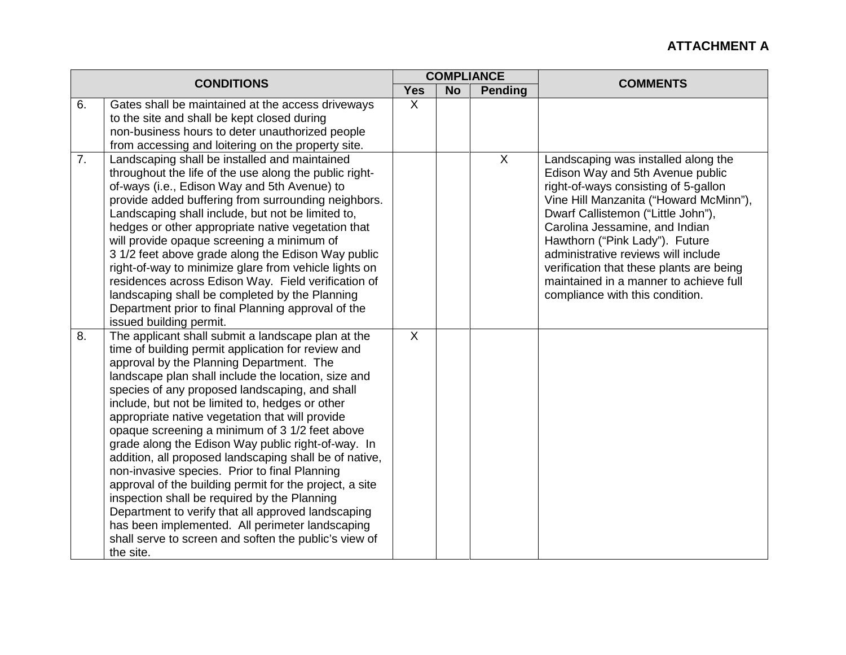| <b>CONDITIONS</b> |                                                                                                                                                                                                                                                                                                                                                                                                                                                                                                                                                                                                                                                                                                                                                                                                                                                                                  |                |           | <b>COMPLIANCE</b> |                                                                                                                                                                                                                                                                                                                                                                                                                                     |
|-------------------|----------------------------------------------------------------------------------------------------------------------------------------------------------------------------------------------------------------------------------------------------------------------------------------------------------------------------------------------------------------------------------------------------------------------------------------------------------------------------------------------------------------------------------------------------------------------------------------------------------------------------------------------------------------------------------------------------------------------------------------------------------------------------------------------------------------------------------------------------------------------------------|----------------|-----------|-------------------|-------------------------------------------------------------------------------------------------------------------------------------------------------------------------------------------------------------------------------------------------------------------------------------------------------------------------------------------------------------------------------------------------------------------------------------|
|                   |                                                                                                                                                                                                                                                                                                                                                                                                                                                                                                                                                                                                                                                                                                                                                                                                                                                                                  | <b>Yes</b>     | <b>No</b> | <b>Pending</b>    | <b>COMMENTS</b>                                                                                                                                                                                                                                                                                                                                                                                                                     |
| 6.                | Gates shall be maintained at the access driveways                                                                                                                                                                                                                                                                                                                                                                                                                                                                                                                                                                                                                                                                                                                                                                                                                                | $\sf X$        |           |                   |                                                                                                                                                                                                                                                                                                                                                                                                                                     |
|                   | to the site and shall be kept closed during                                                                                                                                                                                                                                                                                                                                                                                                                                                                                                                                                                                                                                                                                                                                                                                                                                      |                |           |                   |                                                                                                                                                                                                                                                                                                                                                                                                                                     |
|                   | non-business hours to deter unauthorized people                                                                                                                                                                                                                                                                                                                                                                                                                                                                                                                                                                                                                                                                                                                                                                                                                                  |                |           |                   |                                                                                                                                                                                                                                                                                                                                                                                                                                     |
|                   | from accessing and loitering on the property site.                                                                                                                                                                                                                                                                                                                                                                                                                                                                                                                                                                                                                                                                                                                                                                                                                               |                |           |                   |                                                                                                                                                                                                                                                                                                                                                                                                                                     |
| 7.                | Landscaping shall be installed and maintained<br>throughout the life of the use along the public right-<br>of-ways (i.e., Edison Way and 5th Avenue) to<br>provide added buffering from surrounding neighbors.<br>Landscaping shall include, but not be limited to,<br>hedges or other appropriate native vegetation that<br>will provide opaque screening a minimum of<br>3 1/2 feet above grade along the Edison Way public<br>right-of-way to minimize glare from vehicle lights on<br>residences across Edison Way. Field verification of<br>landscaping shall be completed by the Planning<br>Department prior to final Planning approval of the<br>issued building permit.                                                                                                                                                                                                 |                |           | $\sf X$           | Landscaping was installed along the<br>Edison Way and 5th Avenue public<br>right-of-ways consisting of 5-gallon<br>Vine Hill Manzanita ("Howard McMinn"),<br>Dwarf Callistemon ("Little John"),<br>Carolina Jessamine, and Indian<br>Hawthorn ("Pink Lady"). Future<br>administrative reviews will include<br>verification that these plants are being<br>maintained in a manner to achieve full<br>compliance with this condition. |
| 8.                | The applicant shall submit a landscape plan at the<br>time of building permit application for review and<br>approval by the Planning Department. The<br>landscape plan shall include the location, size and<br>species of any proposed landscaping, and shall<br>include, but not be limited to, hedges or other<br>appropriate native vegetation that will provide<br>opaque screening a minimum of 3 1/2 feet above<br>grade along the Edison Way public right-of-way. In<br>addition, all proposed landscaping shall be of native,<br>non-invasive species. Prior to final Planning<br>approval of the building permit for the project, a site<br>inspection shall be required by the Planning<br>Department to verify that all approved landscaping<br>has been implemented. All perimeter landscaping<br>shall serve to screen and soften the public's view of<br>the site. | $\overline{X}$ |           |                   |                                                                                                                                                                                                                                                                                                                                                                                                                                     |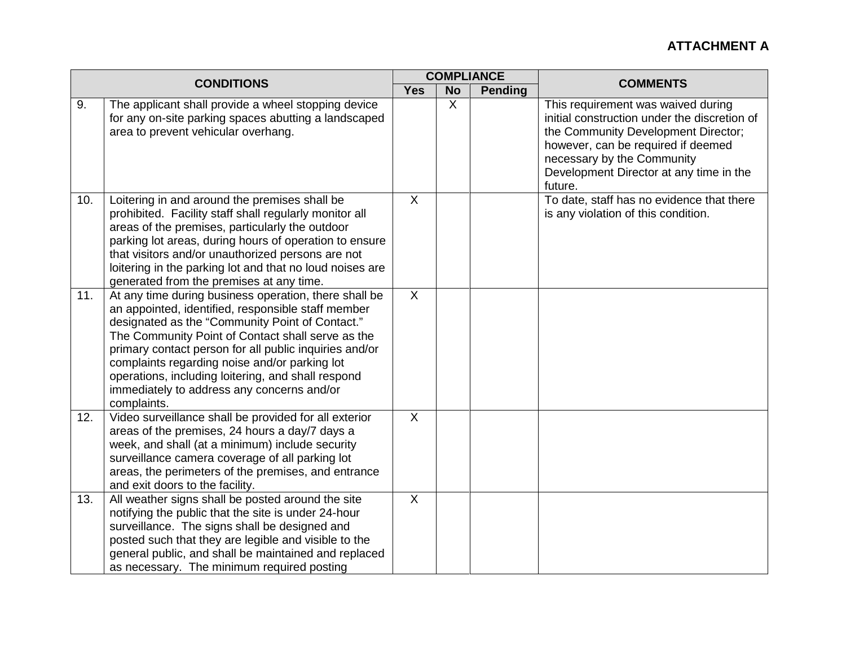| <b>CONDITIONS</b> |                                                                                                                                                                                                                                                                                                                                                                                                                                                   | <b>COMPLIANCE</b> |                             |  | <b>COMMENTS</b>                                                                                                                                                                                                                                     |
|-------------------|---------------------------------------------------------------------------------------------------------------------------------------------------------------------------------------------------------------------------------------------------------------------------------------------------------------------------------------------------------------------------------------------------------------------------------------------------|-------------------|-----------------------------|--|-----------------------------------------------------------------------------------------------------------------------------------------------------------------------------------------------------------------------------------------------------|
|                   |                                                                                                                                                                                                                                                                                                                                                                                                                                                   | <b>Yes</b>        | <b>No</b><br><b>Pending</b> |  |                                                                                                                                                                                                                                                     |
| 9.                | The applicant shall provide a wheel stopping device<br>for any on-site parking spaces abutting a landscaped<br>area to prevent vehicular overhang.                                                                                                                                                                                                                                                                                                |                   | $\sf X$                     |  | This requirement was waived during<br>initial construction under the discretion of<br>the Community Development Director;<br>however, can be required if deemed<br>necessary by the Community<br>Development Director at any time in the<br>future. |
| 10.               | Loitering in and around the premises shall be<br>prohibited. Facility staff shall regularly monitor all<br>areas of the premises, particularly the outdoor<br>parking lot areas, during hours of operation to ensure<br>that visitors and/or unauthorized persons are not<br>loitering in the parking lot and that no loud noises are<br>generated from the premises at any time.                                                                 | X                 |                             |  | To date, staff has no evidence that there<br>is any violation of this condition.                                                                                                                                                                    |
| 11.               | At any time during business operation, there shall be<br>an appointed, identified, responsible staff member<br>designated as the "Community Point of Contact."<br>The Community Point of Contact shall serve as the<br>primary contact person for all public inquiries and/or<br>complaints regarding noise and/or parking lot<br>operations, including loitering, and shall respond<br>immediately to address any concerns and/or<br>complaints. | $\mathsf{X}$      |                             |  |                                                                                                                                                                                                                                                     |
| 12.               | Video surveillance shall be provided for all exterior<br>areas of the premises, 24 hours a day/7 days a<br>week, and shall (at a minimum) include security<br>surveillance camera coverage of all parking lot<br>areas, the perimeters of the premises, and entrance<br>and exit doors to the facility.                                                                                                                                           | $\sf X$           |                             |  |                                                                                                                                                                                                                                                     |
| 13.               | All weather signs shall be posted around the site<br>notifying the public that the site is under 24-hour<br>surveillance. The signs shall be designed and<br>posted such that they are legible and visible to the<br>general public, and shall be maintained and replaced<br>as necessary. The minimum required posting                                                                                                                           | $\sf X$           |                             |  |                                                                                                                                                                                                                                                     |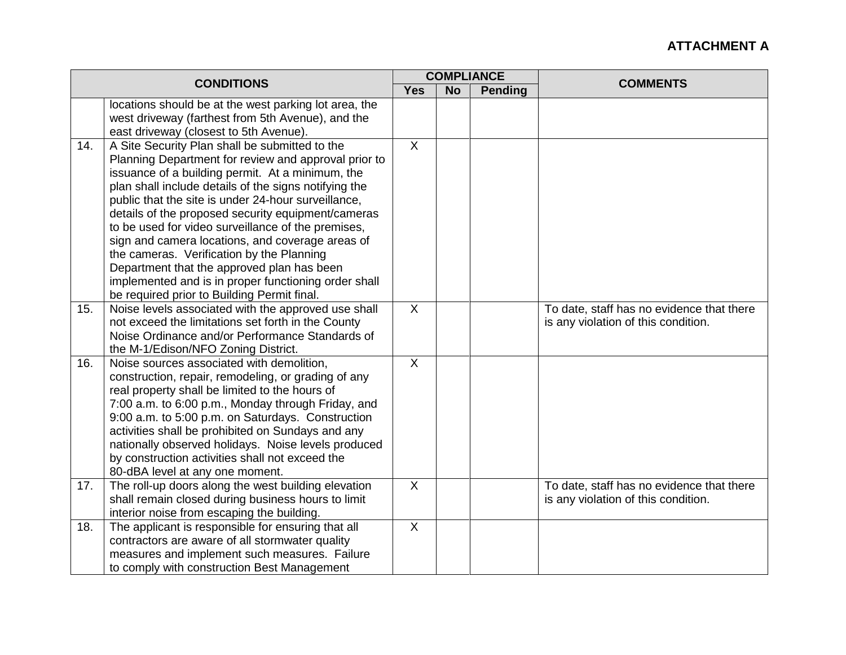| <b>CONDITIONS</b> |                                                                                                           |                |           | <b>COMPLIANCE</b> | <b>COMMENTS</b>                                                                  |
|-------------------|-----------------------------------------------------------------------------------------------------------|----------------|-----------|-------------------|----------------------------------------------------------------------------------|
|                   |                                                                                                           | <b>Yes</b>     | <b>No</b> | <b>Pending</b>    |                                                                                  |
|                   | locations should be at the west parking lot area, the                                                     |                |           |                   |                                                                                  |
|                   | west driveway (farthest from 5th Avenue), and the                                                         |                |           |                   |                                                                                  |
|                   | east driveway (closest to 5th Avenue).                                                                    | X              |           |                   |                                                                                  |
| 14.               | A Site Security Plan shall be submitted to the<br>Planning Department for review and approval prior to    |                |           |                   |                                                                                  |
|                   | issuance of a building permit. At a minimum, the                                                          |                |           |                   |                                                                                  |
|                   | plan shall include details of the signs notifying the                                                     |                |           |                   |                                                                                  |
|                   | public that the site is under 24-hour surveillance,                                                       |                |           |                   |                                                                                  |
|                   | details of the proposed security equipment/cameras                                                        |                |           |                   |                                                                                  |
|                   | to be used for video surveillance of the premises,                                                        |                |           |                   |                                                                                  |
|                   | sign and camera locations, and coverage areas of                                                          |                |           |                   |                                                                                  |
|                   | the cameras. Verification by the Planning                                                                 |                |           |                   |                                                                                  |
|                   | Department that the approved plan has been                                                                |                |           |                   |                                                                                  |
|                   | implemented and is in proper functioning order shall                                                      |                |           |                   |                                                                                  |
|                   | be required prior to Building Permit final.                                                               |                |           |                   |                                                                                  |
| 15.               | Noise levels associated with the approved use shall<br>not exceed the limitations set forth in the County | $\mathsf{X}$   |           |                   | To date, staff has no evidence that there                                        |
|                   | Noise Ordinance and/or Performance Standards of                                                           |                |           |                   | is any violation of this condition.                                              |
|                   | the M-1/Edison/NFO Zoning District.                                                                       |                |           |                   |                                                                                  |
| 16.               | Noise sources associated with demolition,                                                                 | $\sf X$        |           |                   |                                                                                  |
|                   | construction, repair, remodeling, or grading of any                                                       |                |           |                   |                                                                                  |
|                   | real property shall be limited to the hours of                                                            |                |           |                   |                                                                                  |
|                   | 7:00 a.m. to 6:00 p.m., Monday through Friday, and                                                        |                |           |                   |                                                                                  |
|                   | 9:00 a.m. to 5:00 p.m. on Saturdays. Construction                                                         |                |           |                   |                                                                                  |
|                   | activities shall be prohibited on Sundays and any                                                         |                |           |                   |                                                                                  |
|                   | nationally observed holidays. Noise levels produced                                                       |                |           |                   |                                                                                  |
|                   | by construction activities shall not exceed the                                                           |                |           |                   |                                                                                  |
|                   | 80-dBA level at any one moment.                                                                           | $\overline{X}$ |           |                   |                                                                                  |
| 17.               | The roll-up doors along the west building elevation<br>shall remain closed during business hours to limit |                |           |                   | To date, staff has no evidence that there<br>is any violation of this condition. |
|                   | interior noise from escaping the building.                                                                |                |           |                   |                                                                                  |
| 18.               | The applicant is responsible for ensuring that all                                                        | $\overline{X}$ |           |                   |                                                                                  |
|                   | contractors are aware of all stormwater quality                                                           |                |           |                   |                                                                                  |
|                   | measures and implement such measures. Failure                                                             |                |           |                   |                                                                                  |
|                   | to comply with construction Best Management                                                               |                |           |                   |                                                                                  |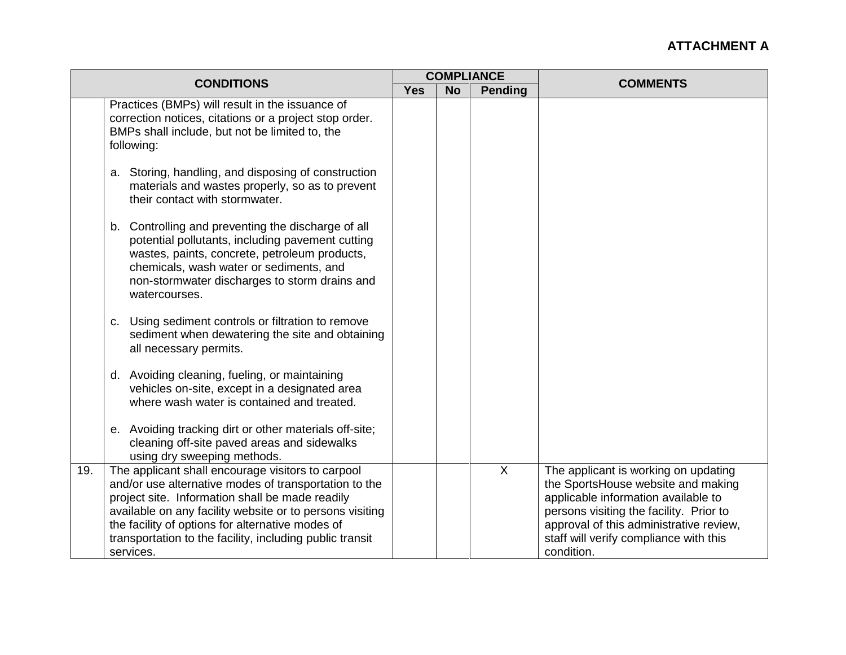| <b>CONDITIONS</b> |                                                                                                                                                                                                                                                                                                                                                        |            |           | <b>COMPLIANCE</b> | <b>COMMENTS</b>                                                                                                                                                                                                                                                 |
|-------------------|--------------------------------------------------------------------------------------------------------------------------------------------------------------------------------------------------------------------------------------------------------------------------------------------------------------------------------------------------------|------------|-----------|-------------------|-----------------------------------------------------------------------------------------------------------------------------------------------------------------------------------------------------------------------------------------------------------------|
|                   |                                                                                                                                                                                                                                                                                                                                                        | <b>Yes</b> | <b>No</b> | Pending           |                                                                                                                                                                                                                                                                 |
|                   | Practices (BMPs) will result in the issuance of<br>correction notices, citations or a project stop order.<br>BMPs shall include, but not be limited to, the<br>following:                                                                                                                                                                              |            |           |                   |                                                                                                                                                                                                                                                                 |
|                   | a. Storing, handling, and disposing of construction<br>materials and wastes properly, so as to prevent<br>their contact with stormwater.                                                                                                                                                                                                               |            |           |                   |                                                                                                                                                                                                                                                                 |
|                   | b. Controlling and preventing the discharge of all<br>potential pollutants, including pavement cutting<br>wastes, paints, concrete, petroleum products,<br>chemicals, wash water or sediments, and<br>non-stormwater discharges to storm drains and<br>watercourses.                                                                                   |            |           |                   |                                                                                                                                                                                                                                                                 |
|                   | Using sediment controls or filtration to remove<br>C.<br>sediment when dewatering the site and obtaining<br>all necessary permits.                                                                                                                                                                                                                     |            |           |                   |                                                                                                                                                                                                                                                                 |
|                   | d. Avoiding cleaning, fueling, or maintaining<br>vehicles on-site, except in a designated area<br>where wash water is contained and treated.                                                                                                                                                                                                           |            |           |                   |                                                                                                                                                                                                                                                                 |
|                   | e. Avoiding tracking dirt or other materials off-site;<br>cleaning off-site paved areas and sidewalks<br>using dry sweeping methods.                                                                                                                                                                                                                   |            |           |                   |                                                                                                                                                                                                                                                                 |
| 19.               | The applicant shall encourage visitors to carpool<br>and/or use alternative modes of transportation to the<br>project site. Information shall be made readily<br>available on any facility website or to persons visiting<br>the facility of options for alternative modes of<br>transportation to the facility, including public transit<br>services. |            |           | $\overline{X}$    | The applicant is working on updating<br>the SportsHouse website and making<br>applicable information available to<br>persons visiting the facility. Prior to<br>approval of this administrative review,<br>staff will verify compliance with this<br>condition. |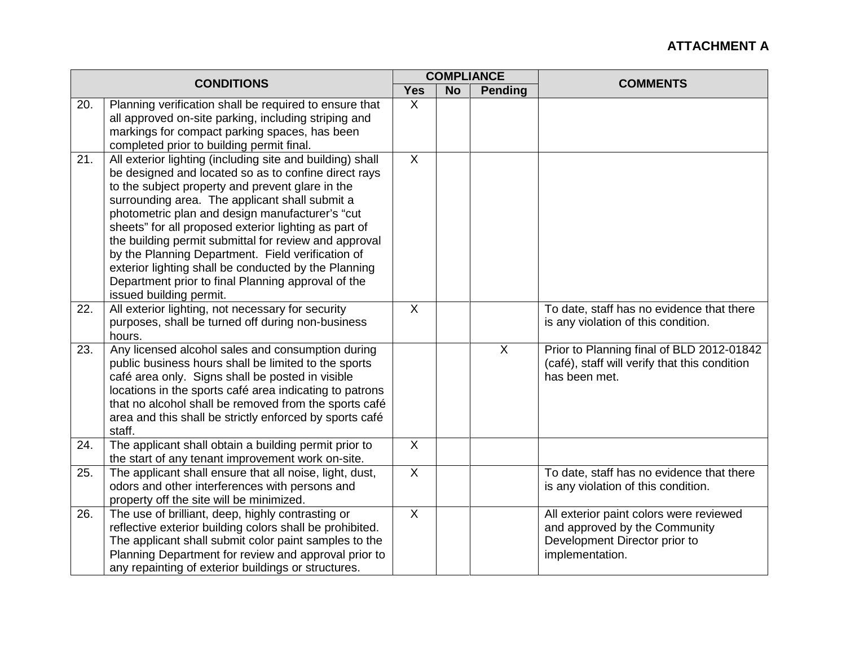| <b>CONDITIONS</b> |                                                                                                                                                                                                                                                                                                                                                                                                                                                                                                                                                                                            | <b>COMPLIANCE</b>         |           |                | <b>COMMENTS</b>                                                                                                              |
|-------------------|--------------------------------------------------------------------------------------------------------------------------------------------------------------------------------------------------------------------------------------------------------------------------------------------------------------------------------------------------------------------------------------------------------------------------------------------------------------------------------------------------------------------------------------------------------------------------------------------|---------------------------|-----------|----------------|------------------------------------------------------------------------------------------------------------------------------|
|                   |                                                                                                                                                                                                                                                                                                                                                                                                                                                                                                                                                                                            | <b>Yes</b>                | <b>No</b> | <b>Pending</b> |                                                                                                                              |
| 20.               | Planning verification shall be required to ensure that<br>all approved on-site parking, including striping and<br>markings for compact parking spaces, has been<br>completed prior to building permit final.                                                                                                                                                                                                                                                                                                                                                                               | $\sf X$                   |           |                |                                                                                                                              |
| 21.               | All exterior lighting (including site and building) shall<br>be designed and located so as to confine direct rays<br>to the subject property and prevent glare in the<br>surrounding area. The applicant shall submit a<br>photometric plan and design manufacturer's "cut<br>sheets" for all proposed exterior lighting as part of<br>the building permit submittal for review and approval<br>by the Planning Department. Field verification of<br>exterior lighting shall be conducted by the Planning<br>Department prior to final Planning approval of the<br>issued building permit. | $\boldsymbol{\mathsf{X}}$ |           |                |                                                                                                                              |
| 22.               | All exterior lighting, not necessary for security<br>purposes, shall be turned off during non-business<br>hours.                                                                                                                                                                                                                                                                                                                                                                                                                                                                           | $\sf X$                   |           |                | To date, staff has no evidence that there<br>is any violation of this condition.                                             |
| 23.               | Any licensed alcohol sales and consumption during<br>public business hours shall be limited to the sports<br>café area only. Signs shall be posted in visible<br>locations in the sports café area indicating to patrons<br>that no alcohol shall be removed from the sports café<br>area and this shall be strictly enforced by sports café<br>staff.                                                                                                                                                                                                                                     |                           |           | $\mathsf{X}$   | Prior to Planning final of BLD 2012-01842<br>(café), staff will verify that this condition<br>has been met.                  |
| 24.               | The applicant shall obtain a building permit prior to<br>the start of any tenant improvement work on-site.                                                                                                                                                                                                                                                                                                                                                                                                                                                                                 | $\sf X$                   |           |                |                                                                                                                              |
| 25.               | The applicant shall ensure that all noise, light, dust,<br>odors and other interferences with persons and<br>property off the site will be minimized.                                                                                                                                                                                                                                                                                                                                                                                                                                      | $\overline{X}$            |           |                | To date, staff has no evidence that there<br>is any violation of this condition.                                             |
| 26.               | The use of brilliant, deep, highly contrasting or<br>reflective exterior building colors shall be prohibited.<br>The applicant shall submit color paint samples to the<br>Planning Department for review and approval prior to<br>any repainting of exterior buildings or structures.                                                                                                                                                                                                                                                                                                      | $\sf X$                   |           |                | All exterior paint colors were reviewed<br>and approved by the Community<br>Development Director prior to<br>implementation. |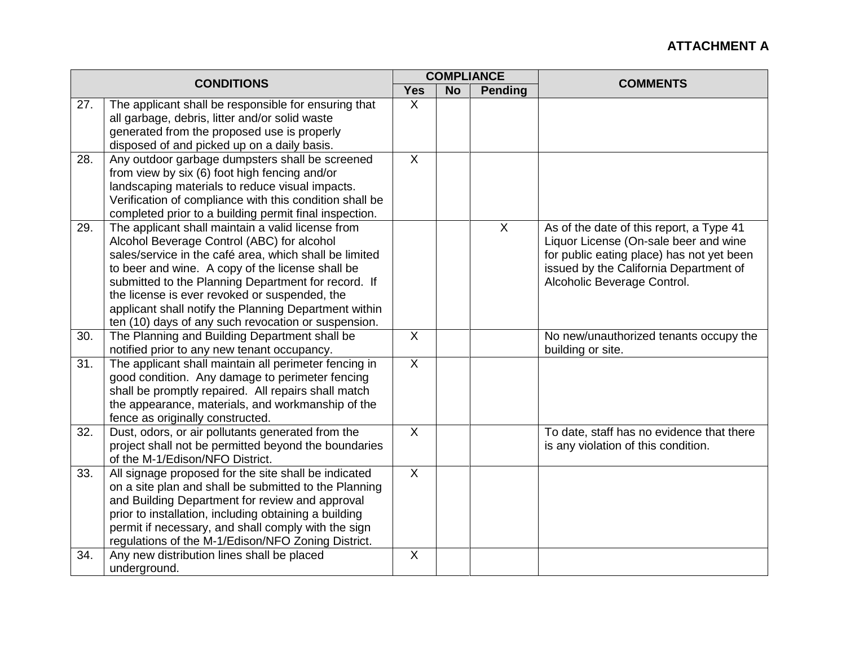| <b>CONDITIONS</b> |                                                                                                      |                           |           | <b>COMPLIANCE</b> |                                                             |
|-------------------|------------------------------------------------------------------------------------------------------|---------------------------|-----------|-------------------|-------------------------------------------------------------|
|                   |                                                                                                      | <b>Yes</b>                | <b>No</b> | <b>Pending</b>    | <b>COMMENTS</b>                                             |
| 27.               | The applicant shall be responsible for ensuring that                                                 | X                         |           |                   |                                                             |
|                   | all garbage, debris, litter and/or solid waste                                                       |                           |           |                   |                                                             |
|                   | generated from the proposed use is properly                                                          |                           |           |                   |                                                             |
|                   | disposed of and picked up on a daily basis.                                                          |                           |           |                   |                                                             |
| 28.               | Any outdoor garbage dumpsters shall be screened                                                      | $\boldsymbol{\mathsf{X}}$ |           |                   |                                                             |
|                   | from view by six (6) foot high fencing and/or                                                        |                           |           |                   |                                                             |
|                   | landscaping materials to reduce visual impacts.                                                      |                           |           |                   |                                                             |
|                   | Verification of compliance with this condition shall be                                              |                           |           |                   |                                                             |
|                   | completed prior to a building permit final inspection.                                               |                           |           |                   |                                                             |
| 29.               | The applicant shall maintain a valid license from                                                    |                           |           | $\sf X$           | As of the date of this report, a Type 41                    |
|                   | Alcohol Beverage Control (ABC) for alcohol                                                           |                           |           |                   | Liquor License (On-sale beer and wine                       |
|                   | sales/service in the café area, which shall be limited                                               |                           |           |                   | for public eating place) has not yet been                   |
|                   | to beer and wine. A copy of the license shall be                                                     |                           |           |                   | issued by the California Department of                      |
|                   | submitted to the Planning Department for record. If                                                  |                           |           |                   | Alcoholic Beverage Control.                                 |
|                   | the license is ever revoked or suspended, the                                                        |                           |           |                   |                                                             |
|                   | applicant shall notify the Planning Department within                                                |                           |           |                   |                                                             |
| 30.               | ten (10) days of any such revocation or suspension.<br>The Planning and Building Department shall be | $\sf X$                   |           |                   |                                                             |
|                   | notified prior to any new tenant occupancy.                                                          |                           |           |                   | No new/unauthorized tenants occupy the<br>building or site. |
| 31.               | The applicant shall maintain all perimeter fencing in                                                | $\overline{X}$            |           |                   |                                                             |
|                   | good condition. Any damage to perimeter fencing                                                      |                           |           |                   |                                                             |
|                   | shall be promptly repaired. All repairs shall match                                                  |                           |           |                   |                                                             |
|                   | the appearance, materials, and workmanship of the                                                    |                           |           |                   |                                                             |
|                   | fence as originally constructed.                                                                     |                           |           |                   |                                                             |
| 32.               | Dust, odors, or air pollutants generated from the                                                    | $\overline{X}$            |           |                   | To date, staff has no evidence that there                   |
|                   | project shall not be permitted beyond the boundaries                                                 |                           |           |                   | is any violation of this condition.                         |
|                   | of the M-1/Edison/NFO District.                                                                      |                           |           |                   |                                                             |
| 33.               | All signage proposed for the site shall be indicated                                                 | $\overline{X}$            |           |                   |                                                             |
|                   | on a site plan and shall be submitted to the Planning                                                |                           |           |                   |                                                             |
|                   | and Building Department for review and approval                                                      |                           |           |                   |                                                             |
|                   | prior to installation, including obtaining a building                                                |                           |           |                   |                                                             |
|                   | permit if necessary, and shall comply with the sign                                                  |                           |           |                   |                                                             |
|                   | regulations of the M-1/Edison/NFO Zoning District.                                                   |                           |           |                   |                                                             |
| 34.               | Any new distribution lines shall be placed                                                           | $\boldsymbol{\mathsf{X}}$ |           |                   |                                                             |
|                   | underground.                                                                                         |                           |           |                   |                                                             |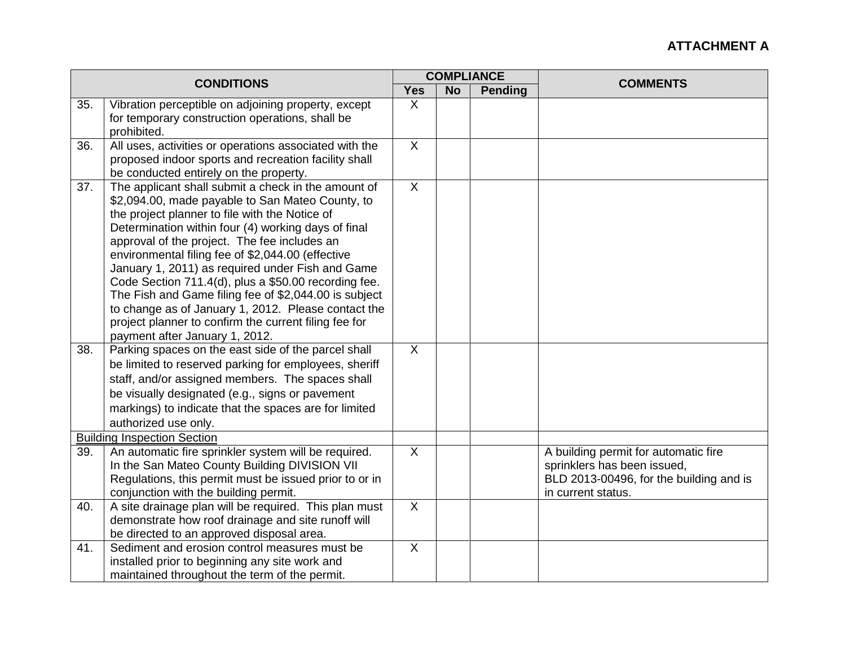|     |                                                                                                         | <b>COMPLIANCE</b>         |           |                |                                         |
|-----|---------------------------------------------------------------------------------------------------------|---------------------------|-----------|----------------|-----------------------------------------|
|     | <b>CONDITIONS</b>                                                                                       | <b>Yes</b>                | <b>No</b> | <b>Pending</b> | <b>COMMENTS</b>                         |
| 35. | Vibration perceptible on adjoining property, except                                                     | X                         |           |                |                                         |
|     | for temporary construction operations, shall be                                                         |                           |           |                |                                         |
|     | prohibited.                                                                                             |                           |           |                |                                         |
| 36. | All uses, activities or operations associated with the                                                  | $\sf X$                   |           |                |                                         |
|     | proposed indoor sports and recreation facility shall                                                    |                           |           |                |                                         |
|     | be conducted entirely on the property.                                                                  | $\overline{\mathsf{x}}$   |           |                |                                         |
| 37. | The applicant shall submit a check in the amount of<br>\$2,094.00, made payable to San Mateo County, to |                           |           |                |                                         |
|     | the project planner to file with the Notice of                                                          |                           |           |                |                                         |
|     | Determination within four (4) working days of final                                                     |                           |           |                |                                         |
|     | approval of the project. The fee includes an                                                            |                           |           |                |                                         |
|     | environmental filing fee of \$2,044.00 (effective                                                       |                           |           |                |                                         |
|     | January 1, 2011) as required under Fish and Game                                                        |                           |           |                |                                         |
|     | Code Section 711.4(d), plus a \$50.00 recording fee.                                                    |                           |           |                |                                         |
|     | The Fish and Game filing fee of \$2,044.00 is subject                                                   |                           |           |                |                                         |
|     | to change as of January 1, 2012. Please contact the                                                     |                           |           |                |                                         |
|     | project planner to confirm the current filing fee for                                                   |                           |           |                |                                         |
|     | payment after January 1, 2012.                                                                          |                           |           |                |                                         |
| 38. | Parking spaces on the east side of the parcel shall                                                     | $\overline{X}$            |           |                |                                         |
|     | be limited to reserved parking for employees, sheriff                                                   |                           |           |                |                                         |
|     | staff, and/or assigned members. The spaces shall                                                        |                           |           |                |                                         |
|     | be visually designated (e.g., signs or pavement                                                         |                           |           |                |                                         |
|     | markings) to indicate that the spaces are for limited                                                   |                           |           |                |                                         |
|     | authorized use only.                                                                                    |                           |           |                |                                         |
|     | <b>Building Inspection Section</b>                                                                      |                           |           |                |                                         |
| 39. | An automatic fire sprinkler system will be required.                                                    | $\overline{X}$            |           |                | A building permit for automatic fire    |
|     | In the San Mateo County Building DIVISION VII                                                           |                           |           |                | sprinklers has been issued,             |
|     | Regulations, this permit must be issued prior to or in                                                  |                           |           |                | BLD 2013-00496, for the building and is |
|     | conjunction with the building permit.                                                                   |                           |           |                | in current status.                      |
| 40. | A site drainage plan will be required. This plan must                                                   | $\sf X$                   |           |                |                                         |
|     | demonstrate how roof drainage and site runoff will                                                      |                           |           |                |                                         |
|     | be directed to an approved disposal area.                                                               | $\boldsymbol{\mathsf{X}}$ |           |                |                                         |
| 41. | Sediment and erosion control measures must be                                                           |                           |           |                |                                         |
|     |                                                                                                         |                           |           |                |                                         |
|     | installed prior to beginning any site work and<br>maintained throughout the term of the permit.         |                           |           |                |                                         |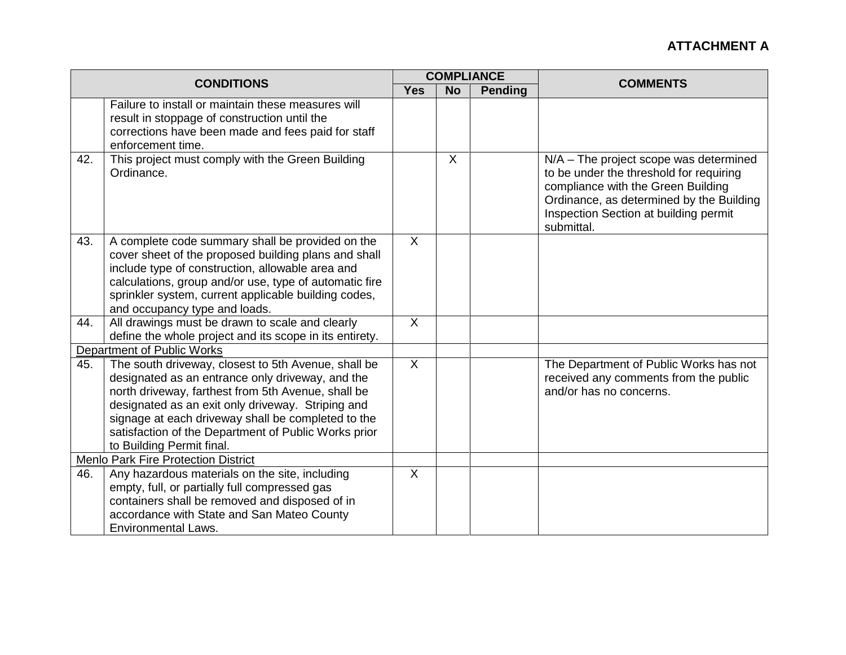| <b>CONDITIONS</b> |                                                                                                                                                                                                                                                                                                                                                               |                |           | <b>COMPLIANCE</b> | <b>COMMENTS</b>                                                                                                                                                                                                              |
|-------------------|---------------------------------------------------------------------------------------------------------------------------------------------------------------------------------------------------------------------------------------------------------------------------------------------------------------------------------------------------------------|----------------|-----------|-------------------|------------------------------------------------------------------------------------------------------------------------------------------------------------------------------------------------------------------------------|
|                   |                                                                                                                                                                                                                                                                                                                                                               | <b>Yes</b>     | <b>No</b> | <b>Pending</b>    |                                                                                                                                                                                                                              |
|                   | Failure to install or maintain these measures will<br>result in stoppage of construction until the<br>corrections have been made and fees paid for staff<br>enforcement time.                                                                                                                                                                                 |                |           |                   |                                                                                                                                                                                                                              |
| 42.               | This project must comply with the Green Building<br>Ordinance.                                                                                                                                                                                                                                                                                                |                | $\chi$    |                   | $N/A$ – The project scope was determined<br>to be under the threshold for requiring<br>compliance with the Green Building<br>Ordinance, as determined by the Building<br>Inspection Section at building permit<br>submittal. |
| 43.               | A complete code summary shall be provided on the<br>cover sheet of the proposed building plans and shall<br>include type of construction, allowable area and<br>calculations, group and/or use, type of automatic fire<br>sprinkler system, current applicable building codes,<br>and occupancy type and loads.                                               | $\sf X$        |           |                   |                                                                                                                                                                                                                              |
| 44.               | All drawings must be drawn to scale and clearly<br>define the whole project and its scope in its entirety.                                                                                                                                                                                                                                                    | $\overline{X}$ |           |                   |                                                                                                                                                                                                                              |
|                   | Department of Public Works                                                                                                                                                                                                                                                                                                                                    |                |           |                   |                                                                                                                                                                                                                              |
| 45.               | The south driveway, closest to 5th Avenue, shall be<br>designated as an entrance only driveway, and the<br>north driveway, farthest from 5th Avenue, shall be<br>designated as an exit only driveway. Striping and<br>signage at each driveway shall be completed to the<br>satisfaction of the Department of Public Works prior<br>to Building Permit final. | $\sf X$        |           |                   | The Department of Public Works has not<br>received any comments from the public<br>and/or has no concerns.                                                                                                                   |
|                   | <b>Menlo Park Fire Protection District</b>                                                                                                                                                                                                                                                                                                                    |                |           |                   |                                                                                                                                                                                                                              |
| 46.               | Any hazardous materials on the site, including<br>empty, full, or partially full compressed gas<br>containers shall be removed and disposed of in<br>accordance with State and San Mateo County<br><b>Environmental Laws.</b>                                                                                                                                 | $\overline{X}$ |           |                   |                                                                                                                                                                                                                              |